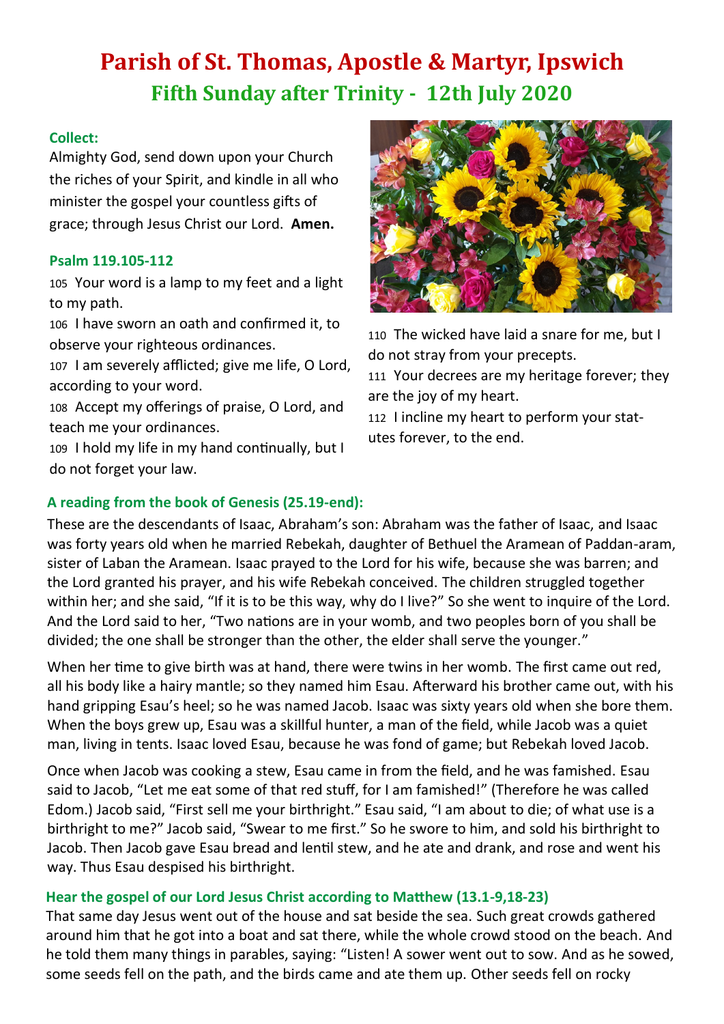# **Parish of St. Thomas, Apostle & Martyr, Ipswich Fifth Sunday after Trinity - 12th July 2020**

### **Collect:**

Almighty God, send down upon your Church the riches of your Spirit, and kindle in all who minister the gospel your countless gifts of grace; through Jesus Christ our Lord. **Amen.**

### **Psalm 119.105-112**

105 Your word is a lamp to my feet and a light to my path.

106 I have sworn an oath and confirmed it, to observe your righteous ordinances.

107 I am severely afflicted; give me life, O Lord, according to your word.

108 Accept my offerings of praise, O Lord, and teach me your ordinances.

109 I hold my life in my hand continually, but I do not forget your law.



110 The wicked have laid a snare for me, but I do not stray from your precepts.

111 Your decrees are my heritage forever; they are the joy of my heart.

112 I incline my heart to perform your statutes forever, to the end.

### **A reading from the book of Genesis (25.19-end):**

These are the descendants of Isaac, Abraham's son: Abraham was the father of Isaac, and Isaac was forty years old when he married Rebekah, daughter of Bethuel the Aramean of Paddan-aram, sister of Laban the Aramean. Isaac prayed to the Lord for his wife, because she was barren; and the Lord granted his prayer, and his wife Rebekah conceived. The children struggled together within her; and she said, "If it is to be this way, why do I live?" So she went to inquire of the Lord. And the Lord said to her, "Two nations are in your womb, and two peoples born of you shall be divided; the one shall be stronger than the other, the elder shall serve the younger."

When her time to give birth was at hand, there were twins in her womb. The first came out red, all his body like a hairy mantle; so they named him Esau. Afterward his brother came out, with his hand gripping Esau's heel; so he was named Jacob. Isaac was sixty years old when she bore them. When the boys grew up, Esau was a skillful hunter, a man of the field, while Jacob was a quiet man, living in tents. Isaac loved Esau, because he was fond of game; but Rebekah loved Jacob.

Once when Jacob was cooking a stew, Esau came in from the field, and he was famished. Esau said to Jacob, "Let me eat some of that red stuff, for I am famished!" (Therefore he was called Edom.) Jacob said, "First sell me your birthright." Esau said, "I am about to die; of what use is a birthright to me?" Jacob said, "Swear to me first." So he swore to him, and sold his birthright to Jacob. Then Jacob gave Esau bread and lentil stew, and he ate and drank, and rose and went his way. Thus Esau despised his birthright.

### **Hear the gospel of our Lord Jesus Christ according to Matthew (13.1-9,18-23)**

That same day Jesus went out of the house and sat beside the sea. Such great crowds gathered around him that he got into a boat and sat there, while the whole crowd stood on the beach. And he told them many things in parables, saying: "Listen! A sower went out to sow. And as he sowed, some seeds fell on the path, and the birds came and ate them up. Other seeds fell on rocky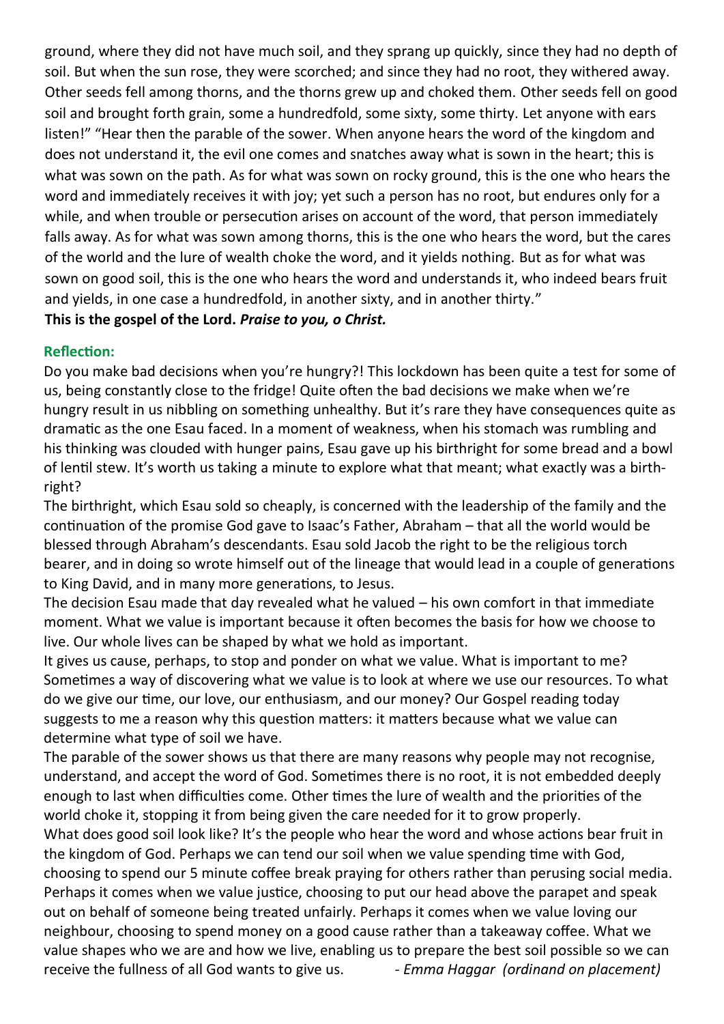ground, where they did not have much soil, and they sprang up quickly, since they had no depth of soil. But when the sun rose, they were scorched; and since they had no root, they withered away. Other seeds fell among thorns, and the thorns grew up and choked them. Other seeds fell on good soil and brought forth grain, some a hundredfold, some sixty, some thirty. Let anyone with ears listen!" "Hear then the parable of the sower. When anyone hears the word of the kingdom and does not understand it, the evil one comes and snatches away what is sown in the heart; this is what was sown on the path. As for what was sown on rocky ground, this is the one who hears the word and immediately receives it with joy; yet such a person has no root, but endures only for a while, and when trouble or persecution arises on account of the word, that person immediately falls away. As for what was sown among thorns, this is the one who hears the word, but the cares of the world and the lure of wealth choke the word, and it yields nothing. But as for what was sown on good soil, this is the one who hears the word and understands it, who indeed bears fruit and yields, in one case a hundredfold, in another sixty, and in another thirty." **This is the gospel of the Lord.** *Praise to you, o Christ.*

### **Reflection:**

Do you make bad decisions when you're hungry?! This lockdown has been quite a test for some of us, being constantly close to the fridge! Quite often the bad decisions we make when we're hungry result in us nibbling on something unhealthy. But it's rare they have consequences quite as dramatic as the one Esau faced. In a moment of weakness, when his stomach was rumbling and his thinking was clouded with hunger pains, Esau gave up his birthright for some bread and a bowl of lentil stew. It's worth us taking a minute to explore what that meant; what exactly was a birthright?

The birthright, which Esau sold so cheaply, is concerned with the leadership of the family and the continuation of the promise God gave to Isaac's Father, Abraham – that all the world would be blessed through Abraham's descendants. Esau sold Jacob the right to be the religious torch bearer, and in doing so wrote himself out of the lineage that would lead in a couple of generations to King David, and in many more generations, to Jesus.

The decision Esau made that day revealed what he valued – his own comfort in that immediate moment. What we value is important because it often becomes the basis for how we choose to live. Our whole lives can be shaped by what we hold as important.

It gives us cause, perhaps, to stop and ponder on what we value. What is important to me? Sometimes a way of discovering what we value is to look at where we use our resources. To what do we give our time, our love, our enthusiasm, and our money? Our Gospel reading today suggests to me a reason why this question matters: it matters because what we value can determine what type of soil we have.

The parable of the sower shows us that there are many reasons why people may not recognise, understand, and accept the word of God. Sometimes there is no root, it is not embedded deeply enough to last when difficulties come. Other times the lure of wealth and the priorities of the world choke it, stopping it from being given the care needed for it to grow properly.

What does good soil look like? It's the people who hear the word and whose actions bear fruit in the kingdom of God. Perhaps we can tend our soil when we value spending time with God, choosing to spend our 5 minute coffee break praying for others rather than perusing social media. Perhaps it comes when we value justice, choosing to put our head above the parapet and speak out on behalf of someone being treated unfairly. Perhaps it comes when we value loving our neighbour, choosing to spend money on a good cause rather than a takeaway coffee. What we value shapes who we are and how we live, enabling us to prepare the best soil possible so we can receive the fullness of all God wants to give us. *- Emma Haggar (ordinand on placement)*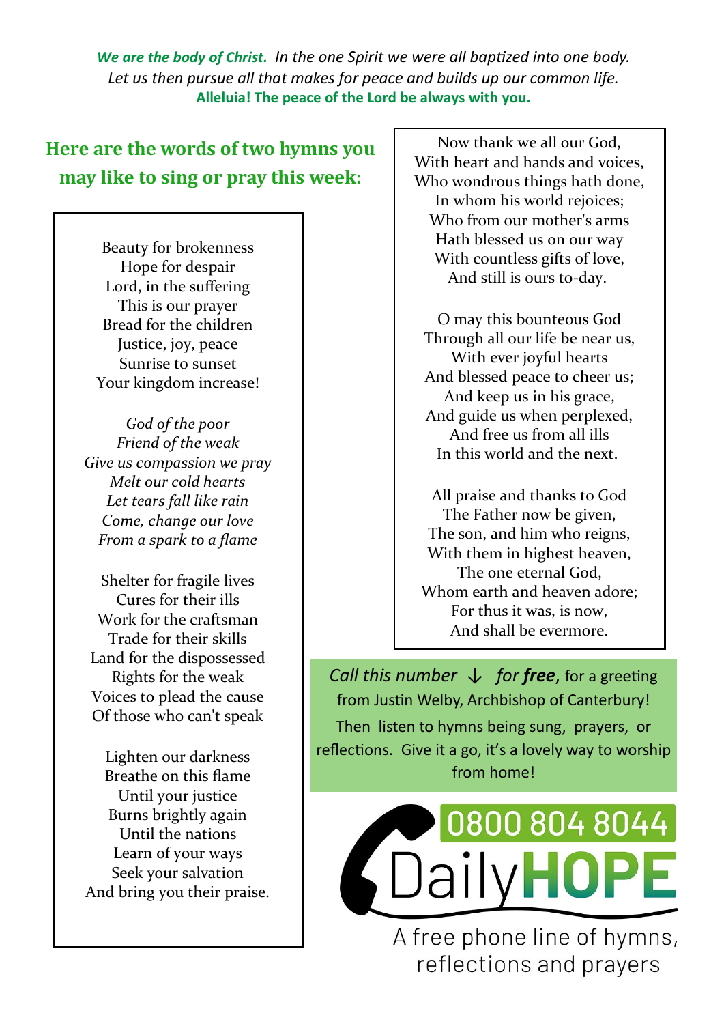*We are the body of Christ. In the one Spirit we were all baptized into one body. Let us then pursue all that makes for peace and builds up our common life.*  **Alleluia! The peace of the Lord be always with you.**

## **Here are the words of two hymns you may like to sing or pray this week:**

Beauty for brokenness Hope for despair Lord, in the suffering This is our prayer Bread for the children Justice, joy, peace Sunrise to sunset Your kingdom increase!

*God of the poor Friend of the weak Give us compassion we pray Melt our cold hearts Let tears fall like rain Come, change our love From a spark to a flame*

Shelter for fragile lives Cures for their ills Work for the craftsman Trade for their skills Land for the dispossessed Rights for the weak Voices to plead the cause Of those who can't speak

Lighten our darkness Breathe on this flame Until your justice Burns brightly again Until the nations Learn of your ways Seek your salvation And bring you their praise.

Now thank we all our God, With heart and hands and voices, Who wondrous things hath done, In whom his world rejoices; Who from our mother's arms Hath blessed us on our way With countless gifts of love, And still is ours to-day.

O may this bounteous God Through all our life be near us, With ever joyful hearts And blessed peace to cheer us; And keep us in his grace, And guide us when perplexed, And free us from all ills In this world and the next.

All praise and thanks to God The Father now be given, The son, and him who reigns, With them in highest heaven, The one eternal God, Whom earth and heaven adore; For thus it was, is now, And shall be evermore.

*Call this number* ↓ *for free*, for a greeting from Justin Welby, Archbishop of Canterbury! Then listen to hymns being sung, prayers, or reflections. Give it a go, it's a lovely way to worship from home!



A free phone line of hymns, reflections and prayers